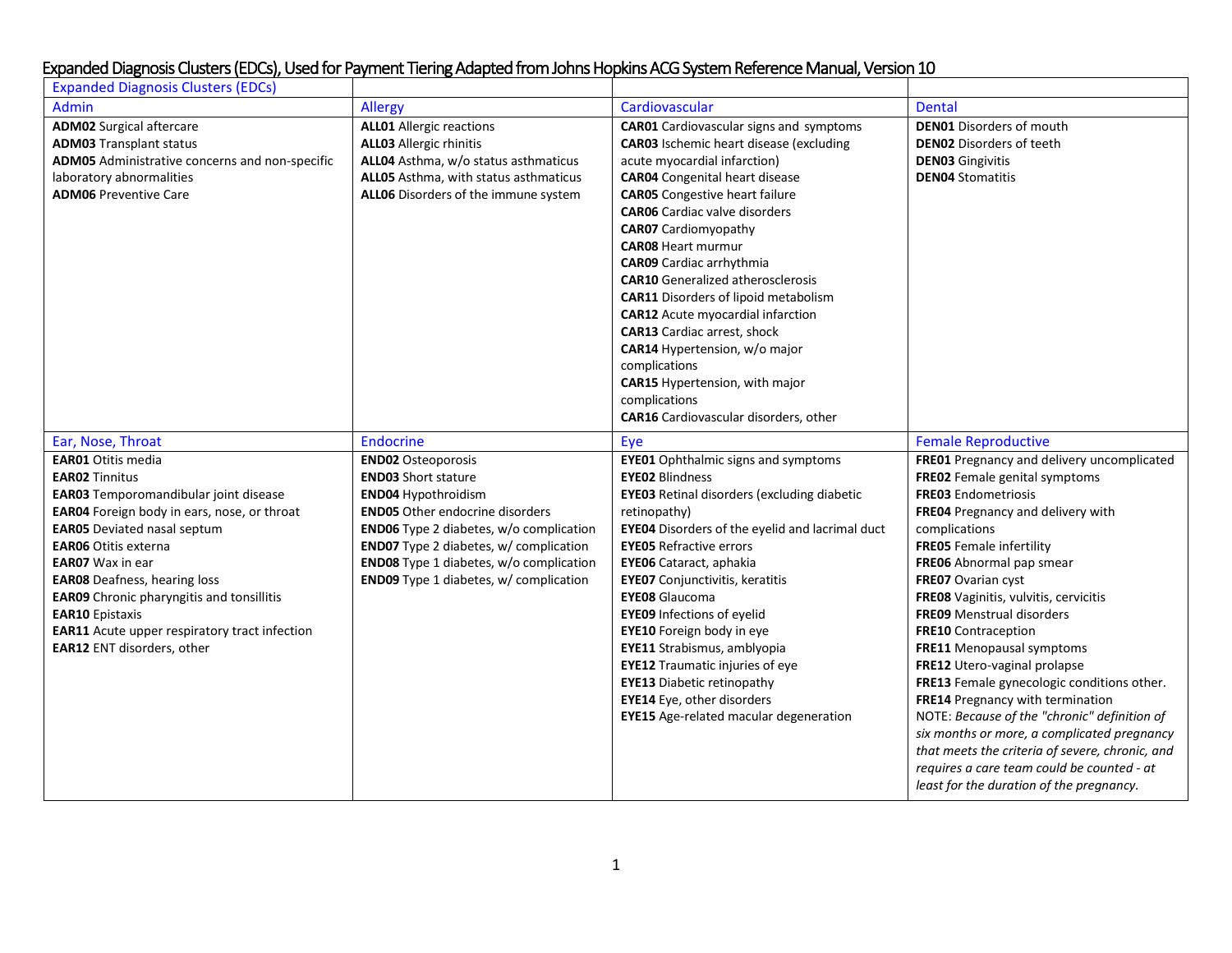| <b>Expanded Diagnosis Clusters (EDCs)</b>                                                                                                                                                                                                                                                                                                                                                                                                                    |                                                                                                                                                                                                                                                                                                                         |                                                                                                                                                                                                                                                                                                                                                                                                                                                                                                                                                                                                                                                                                      |                                                                                                                                                                                                                                                                                                                                                                                                                                                                                                                                                                                                                                                                                                                                                     |
|--------------------------------------------------------------------------------------------------------------------------------------------------------------------------------------------------------------------------------------------------------------------------------------------------------------------------------------------------------------------------------------------------------------------------------------------------------------|-------------------------------------------------------------------------------------------------------------------------------------------------------------------------------------------------------------------------------------------------------------------------------------------------------------------------|--------------------------------------------------------------------------------------------------------------------------------------------------------------------------------------------------------------------------------------------------------------------------------------------------------------------------------------------------------------------------------------------------------------------------------------------------------------------------------------------------------------------------------------------------------------------------------------------------------------------------------------------------------------------------------------|-----------------------------------------------------------------------------------------------------------------------------------------------------------------------------------------------------------------------------------------------------------------------------------------------------------------------------------------------------------------------------------------------------------------------------------------------------------------------------------------------------------------------------------------------------------------------------------------------------------------------------------------------------------------------------------------------------------------------------------------------------|
| <b>Admin</b>                                                                                                                                                                                                                                                                                                                                                                                                                                                 | Allergy                                                                                                                                                                                                                                                                                                                 | Cardiovascular                                                                                                                                                                                                                                                                                                                                                                                                                                                                                                                                                                                                                                                                       | <b>Dental</b>                                                                                                                                                                                                                                                                                                                                                                                                                                                                                                                                                                                                                                                                                                                                       |
| <b>ADM02</b> Surgical aftercare<br><b>ADM03 Transplant status</b><br>ADM05 Administrative concerns and non-specific<br>laboratory abnormalities<br><b>ADM06 Preventive Care</b>                                                                                                                                                                                                                                                                              | <b>ALL01</b> Allergic reactions<br><b>ALL03 Allergic rhinitis</b><br>ALL04 Asthma, w/o status asthmaticus<br>ALL05 Asthma, with status asthmaticus<br>ALL06 Disorders of the immune system                                                                                                                              | <b>CAR01</b> Cardiovascular signs and symptoms<br><b>CAR03</b> Ischemic heart disease (excluding<br>acute myocardial infarction)<br><b>CAR04</b> Congenital heart disease<br><b>CAR05</b> Congestive heart failure<br><b>CAR06</b> Cardiac valve disorders<br><b>CAR07</b> Cardiomyopathy<br><b>CAR08 Heart murmur</b><br><b>CAR09</b> Cardiac arrhythmia<br><b>CAR10</b> Generalized atherosclerosis<br><b>CAR11</b> Disorders of lipoid metabolism<br><b>CAR12</b> Acute myocardial infarction<br><b>CAR13</b> Cardiac arrest, shock<br>CAR14 Hypertension, w/o major<br>complications<br>CAR15 Hypertension, with major<br>complications<br>CAR16 Cardiovascular disorders, other | <b>DEN01</b> Disorders of mouth<br><b>DEN02</b> Disorders of teeth<br><b>DEN03</b> Gingivitis<br><b>DEN04 Stomatitis</b>                                                                                                                                                                                                                                                                                                                                                                                                                                                                                                                                                                                                                            |
| Ear, Nose, Throat                                                                                                                                                                                                                                                                                                                                                                                                                                            | Endocrine                                                                                                                                                                                                                                                                                                               | Eye                                                                                                                                                                                                                                                                                                                                                                                                                                                                                                                                                                                                                                                                                  | <b>Female Reproductive</b>                                                                                                                                                                                                                                                                                                                                                                                                                                                                                                                                                                                                                                                                                                                          |
| <b>EAR01</b> Otitis media<br><b>EAR02 Tinnitus</b><br>EAR03 Temporomandibular joint disease<br>EAR04 Foreign body in ears, nose, or throat<br><b>EAR05</b> Deviated nasal septum<br><b>EAR06</b> Otitis externa<br><b>EAR07</b> Wax in ear<br><b>EAR08</b> Deafness, hearing loss<br><b>EAR09</b> Chronic pharyngitis and tonsillitis<br><b>EAR10</b> Epistaxis<br><b>EAR11</b> Acute upper respiratory tract infection<br><b>EAR12</b> ENT disorders, other | <b>END02</b> Osteoporosis<br><b>END03</b> Short stature<br><b>END04 Hypothroidism</b><br><b>END05</b> Other endocrine disorders<br><b>END06</b> Type 2 diabetes, w/o complication<br><b>END07</b> Type 2 diabetes, w/ complication<br>END08 Type 1 diabetes, w/o complication<br>END09 Type 1 diabetes, w/ complication | <b>EYE01</b> Ophthalmic signs and symptoms<br><b>EYE02 Blindness</b><br><b>EYE03</b> Retinal disorders (excluding diabetic<br>retinopathy)<br><b>EYE04</b> Disorders of the eyelid and lacrimal duct<br><b>EYE05 Refractive errors</b><br>EYE06 Cataract, aphakia<br><b>EYE07</b> Conjunctivitis, keratitis<br><b>EYE08</b> Glaucoma<br><b>EYE09 Infections of eyelid</b><br>EYE10 Foreign body in eye<br>EYE11 Strabismus, amblyopia<br><b>EYE12</b> Traumatic injuries of eye<br><b>EYE13</b> Diabetic retinopathy<br>EYE14 Eye, other disorders<br><b>EYE15</b> Age-related macular degeneration                                                                                  | FRE01 Pregnancy and delivery uncomplicated<br>FRE02 Female genital symptoms<br>FRE03 Endometriosis<br>FRE04 Pregnancy and delivery with<br>complications<br><b>FRE05</b> Female infertility<br>FRE06 Abnormal pap smear<br>FRE07 Ovarian cyst<br>FRE08 Vaginitis, vulvitis, cervicitis<br><b>FRE09</b> Menstrual disorders<br><b>FRE10</b> Contraception<br>FRE11 Menopausal symptoms<br>FRE12 Utero-vaginal prolapse<br>FRE13 Female gynecologic conditions other.<br>FRE14 Pregnancy with termination<br>NOTE: Because of the "chronic" definition of<br>six months or more, a complicated pregnancy<br>that meets the criteria of severe, chronic, and<br>requires a care team could be counted - at<br>least for the duration of the pregnancy. |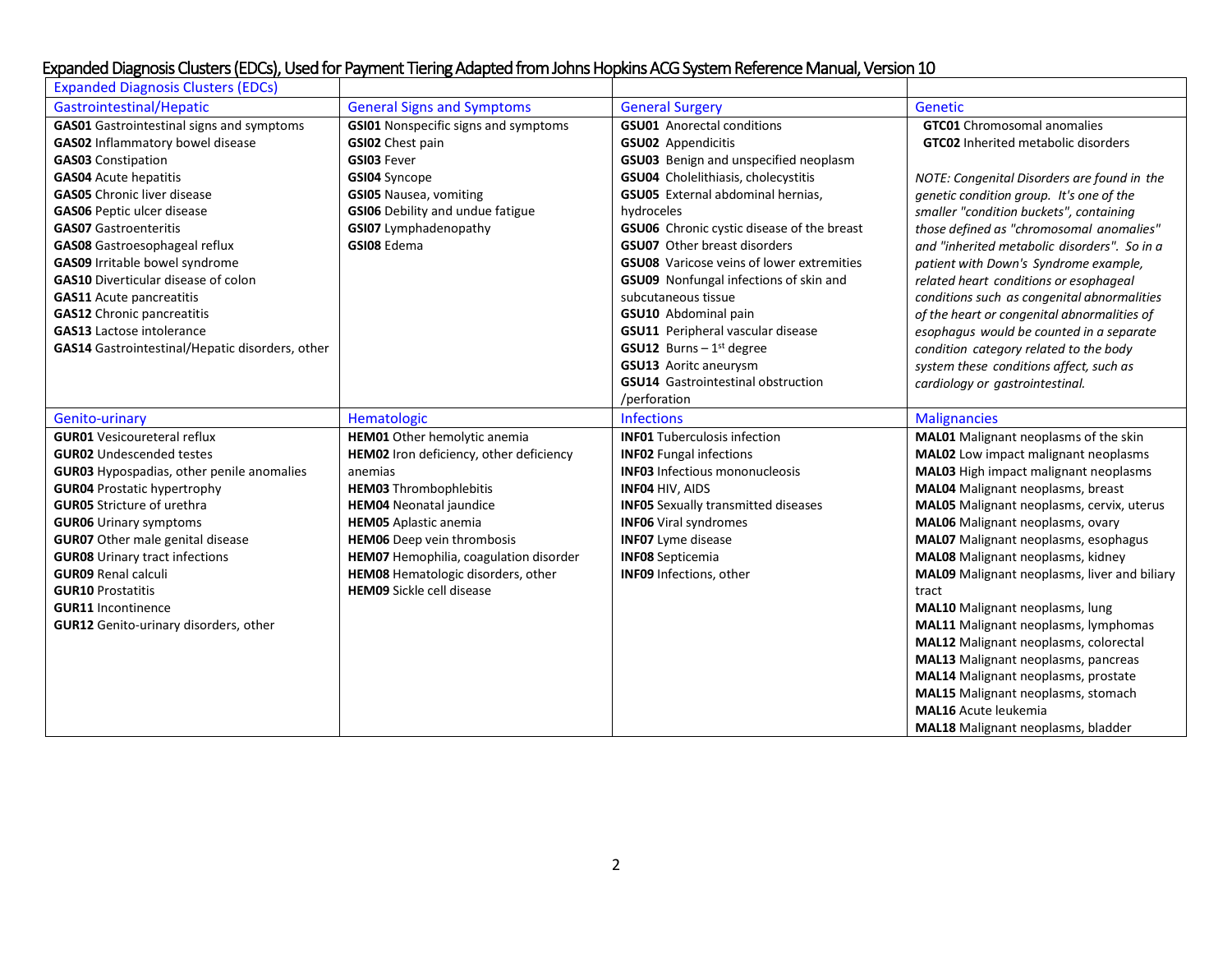| <b>Expanded Diagnosis Clusters (EDCs)</b>        |                                             |                                                   |                                                                          |
|--------------------------------------------------|---------------------------------------------|---------------------------------------------------|--------------------------------------------------------------------------|
| Gastrointestinal/Hepatic                         | <b>General Signs and Symptoms</b>           | <b>General Surgery</b>                            | Genetic                                                                  |
| <b>GAS01</b> Gastrointestinal signs and symptoms | <b>GSI01</b> Nonspecific signs and symptoms | <b>GSU01</b> Anorectal conditions                 | <b>GTC01</b> Chromosomal anomalies                                       |
| GAS02 Inflammatory bowel disease                 | GSI02 Chest pain                            | <b>GSU02</b> Appendicitis                         | <b>GTC02</b> Inherited metabolic disorders                               |
| <b>GAS03</b> Constipation                        | GSI03 Fever                                 | GSU03 Benign and unspecified neoplasm             |                                                                          |
| <b>GAS04</b> Acute hepatitis                     | <b>GSI04</b> Syncope                        | GSU04 Cholelithiasis, cholecystitis               | NOTE: Congenital Disorders are found in the                              |
| <b>GAS05</b> Chronic liver disease               | <b>GSI05</b> Nausea, vomiting               | GSU05 External abdominal hernias,                 | genetic condition group. It's one of the                                 |
| <b>GAS06</b> Peptic ulcer disease                | <b>GSI06</b> Debility and undue fatigue     | hydroceles                                        | smaller "condition buckets", containing                                  |
| <b>GAS07</b> Gastroenteritis                     | <b>GSI07</b> Lymphadenopathy                | <b>GSU06</b> Chronic cystic disease of the breast | those defined as "chromosomal anomalies"                                 |
| GAS08 Gastroesophageal reflux                    | GSI08 Edema                                 | GSU07 Other breast disorders                      | and "inherited metabolic disorders". So in a                             |
| GAS09 Irritable bowel syndrome                   |                                             | <b>GSU08</b> Varicose veins of lower extremities  | patient with Down's Syndrome example,                                    |
| <b>GAS10</b> Diverticular disease of colon       |                                             | GSU09 Nonfungal infections of skin and            | related heart conditions or esophageal                                   |
| <b>GAS11</b> Acute pancreatitis                  |                                             | subcutaneous tissue                               | conditions such as congenital abnormalities                              |
| <b>GAS12</b> Chronic pancreatitis                |                                             | GSU10 Abdominal pain                              | of the heart or congenital abnormalities of                              |
| <b>GAS13</b> Lactose intolerance                 |                                             | GSU11 Peripheral vascular disease                 | esophagus would be counted in a separate                                 |
| GAS14 Gastrointestinal/Hepatic disorders, other  |                                             | <b>GSU12</b> Burns $-1$ <sup>st</sup> degree      | condition category related to the body                                   |
|                                                  |                                             | <b>GSU13</b> Aoritc aneurysm                      | system these conditions affect, such as                                  |
|                                                  |                                             | GSU14 Gastrointestinal obstruction                | cardiology or gastrointestinal.                                          |
|                                                  |                                             | /perforation                                      |                                                                          |
|                                                  |                                             |                                                   |                                                                          |
| Genito-urinary                                   | Hematologic                                 | <b>Infections</b>                                 | <b>Malignancies</b>                                                      |
| <b>GUR01</b> Vesicoureteral reflux               | HEM01 Other hemolytic anemia                | <b>INFO1 Tuberculosis infection</b>               | MAL01 Malignant neoplasms of the skin                                    |
| <b>GUR02</b> Undescended testes                  | HEM02 Iron deficiency, other deficiency     | <b>INFO2</b> Fungal infections                    | MAL02 Low impact malignant neoplasms                                     |
| <b>GUR03</b> Hypospadias, other penile anomalies | anemias                                     | <b>INF03</b> Infectious mononucleosis             | <b>MAL03</b> High impact malignant neoplasms                             |
| <b>GUR04 Prostatic hypertrophy</b>               | <b>HEM03 Thrombophlebitis</b>               | INF04 HIV, AIDS                                   | MAL04 Malignant neoplasms, breast                                        |
| <b>GUR05</b> Stricture of urethra                | <b>HEM04</b> Neonatal jaundice              | <b>INF05</b> Sexually transmitted diseases        | MAL05 Malignant neoplasms, cervix, uterus                                |
| <b>GUR06</b> Urinary symptoms                    | <b>HEM05</b> Aplastic anemia                | <b>INF06</b> Viral syndromes                      | MAL06 Malignant neoplasms, ovary                                         |
| <b>GUR07</b> Other male genital disease          | <b>HEM06</b> Deep vein thrombosis           | <b>INF07</b> Lyme disease                         | MAL07 Malignant neoplasms, esophagus                                     |
| <b>GUR08</b> Urinary tract infections            | HEM07 Hemophilia, coagulation disorder      | <b>INFO8</b> Septicemia                           | MAL08 Malignant neoplasms, kidney                                        |
| <b>GUR09 Renal calculi</b>                       | HEM08 Hematologic disorders, other          | INF09 Infections, other                           | MAL09 Malignant neoplasms, liver and biliary                             |
| <b>GUR10 Prostatitis</b>                         | <b>HEM09</b> Sickle cell disease            |                                                   | tract                                                                    |
| <b>GUR11</b> Incontinence                        |                                             |                                                   | MAL10 Malignant neoplasms, lung                                          |
| <b>GUR12</b> Genito-urinary disorders, other     |                                             |                                                   | MAL11 Malignant neoplasms, lymphomas                                     |
|                                                  |                                             |                                                   | MAL12 Malignant neoplasms, colorectal                                    |
|                                                  |                                             |                                                   | <b>MAL13</b> Malignant neoplasms, pancreas                               |
|                                                  |                                             |                                                   | MAL14 Malignant neoplasms, prostate                                      |
|                                                  |                                             |                                                   | MAL15 Malignant neoplasms, stomach                                       |
|                                                  |                                             |                                                   | <b>MAL16</b> Acute leukemia<br><b>MAL18</b> Malignant neoplasms, bladder |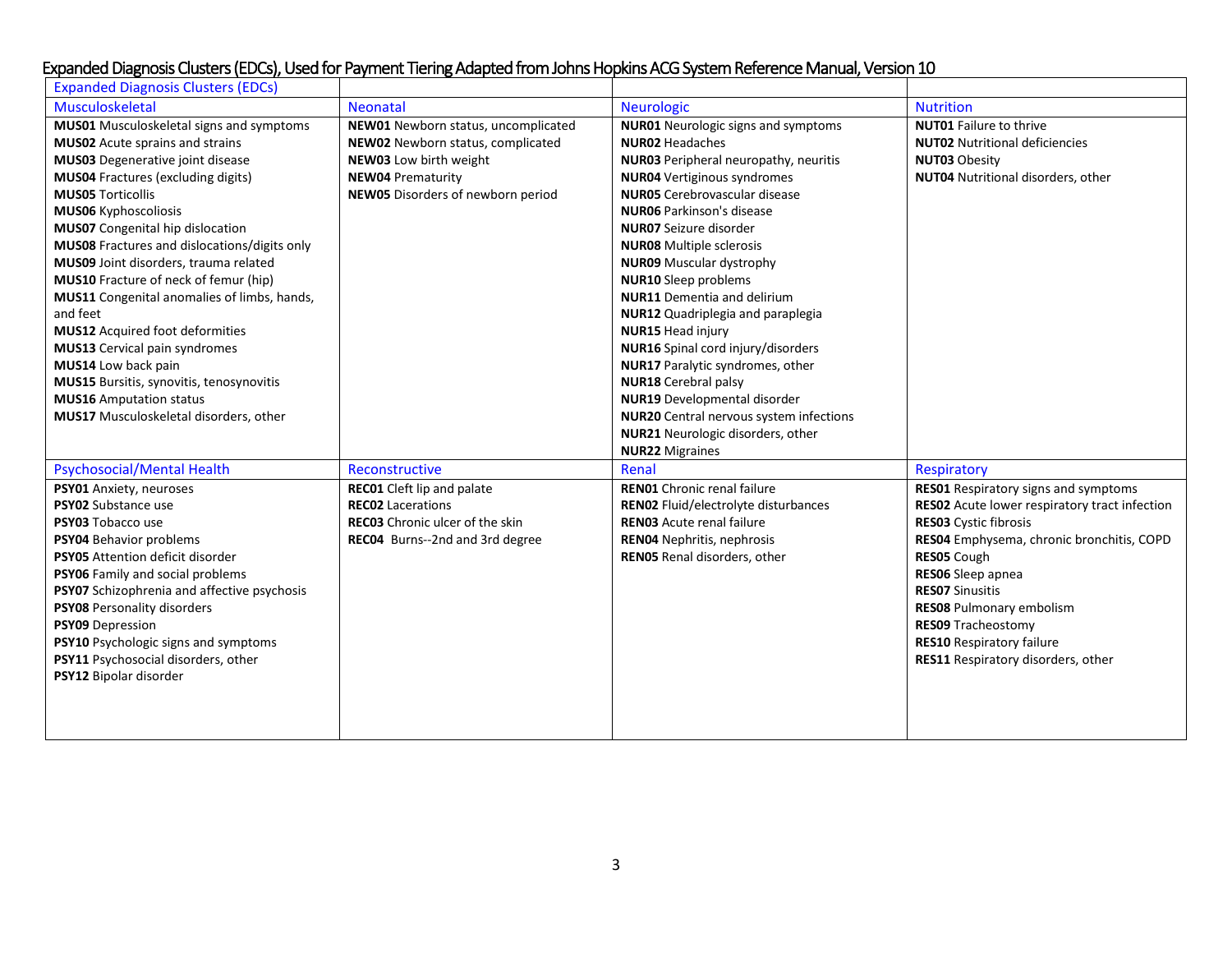| <b>Expanded Diagnosis Clusters (EDCs)</b>          |                                        |                                                |                                               |
|----------------------------------------------------|----------------------------------------|------------------------------------------------|-----------------------------------------------|
| Musculoskeletal                                    | <b>Neonatal</b>                        | Neurologic                                     | <b>Nutrition</b>                              |
| <b>MUS01</b> Musculoskeletal signs and symptoms    | NEW01 Newborn status, uncomplicated    | <b>NUR01</b> Neurologic signs and symptoms     | <b>NUT01</b> Failure to thrive                |
| <b>MUS02</b> Acute sprains and strains             | NEW02 Newborn status, complicated      | <b>NUR02 Headaches</b>                         | <b>NUT02</b> Nutritional deficiencies         |
| <b>MUS03</b> Degenerative joint disease            | NEW03 Low birth weight                 | <b>NUR03</b> Peripheral neuropathy, neuritis   | <b>NUT03 Obesity</b>                          |
| <b>MUS04</b> Fractures (excluding digits)          | <b>NEW04 Prematurity</b>               | <b>NUR04</b> Vertiginous syndromes             | NUT04 Nutritional disorders, other            |
| <b>MUS05 Torticollis</b>                           | NEW05 Disorders of newborn period      | <b>NUR05</b> Cerebrovascular disease           |                                               |
| <b>MUS06 Kyphoscoliosis</b>                        |                                        | <b>NUR06</b> Parkinson's disease               |                                               |
| <b>MUS07</b> Congenital hip dislocation            |                                        | <b>NUR07</b> Seizure disorder                  |                                               |
| MUS08 Fractures and dislocations/digits only       |                                        | <b>NUR08</b> Multiple sclerosis                |                                               |
| MUS09 Joint disorders, trauma related              |                                        | <b>NUR09</b> Muscular dystrophy                |                                               |
| MUS10 Fracture of neck of femur (hip)              |                                        | <b>NUR10</b> Sleep problems                    |                                               |
| MUS11 Congenital anomalies of limbs, hands,        |                                        | <b>NUR11</b> Dementia and delirium             |                                               |
| and feet                                           |                                        | NUR12 Quadriplegia and paraplegia              |                                               |
| <b>MUS12</b> Acquired foot deformities             |                                        | <b>NUR15 Head injury</b>                       |                                               |
| MUS13 Cervical pain syndromes                      |                                        | NUR16 Spinal cord injury/disorders             |                                               |
| MUS14 Low back pain                                |                                        | NUR17 Paralytic syndromes, other               |                                               |
| MUS15 Bursitis, synovitis, tenosynovitis           |                                        | <b>NUR18</b> Cerebral palsy                    |                                               |
| <b>MUS16</b> Amputation status                     |                                        | <b>NUR19</b> Developmental disorder            |                                               |
| MUS17 Musculoskeletal disorders, other             |                                        | <b>NUR20</b> Central nervous system infections |                                               |
|                                                    |                                        | NUR21 Neurologic disorders, other              |                                               |
|                                                    |                                        | <b>NUR22 Migraines</b>                         |                                               |
| <b>Psychosocial/Mental Health</b>                  | Reconstructive                         | Renal                                          | Respiratory                                   |
| PSY01 Anxiety, neuroses                            | <b>REC01</b> Cleft lip and palate      | <b>RENO1</b> Chronic renal failure             | <b>RES01</b> Respiratory signs and symptoms   |
| PSY02 Substance use                                | <b>REC02</b> Lacerations               | RENO2 Fluid/electrolyte disturbances           | RES02 Acute lower respiratory tract infection |
| PSY03 Tobacco use                                  | <b>REC03</b> Chronic ulcer of the skin | <b>RENO3</b> Acute renal failure               | RES03 Cystic fibrosis                         |
| PSY04 Behavior problems                            | REC04 Burns--2nd and 3rd degree        | <b>RENO4</b> Nephritis, nephrosis              | RES04 Emphysema, chronic bronchitis, COPD     |
| PSY05 Attention deficit disorder                   |                                        | RENO5 Renal disorders, other                   | RES05 Cough                                   |
| PSY06 Family and social problems                   |                                        |                                                | RESO6 Sleep apnea                             |
| <b>PSY07</b> Schizophrenia and affective psychosis |                                        |                                                | <b>RESO7 Sinusitis</b>                        |
| PSY08 Personality disorders                        |                                        |                                                | <b>RES08 Pulmonary embolism</b>               |
| PSY09 Depression                                   |                                        |                                                | <b>RES09 Tracheostomy</b>                     |
| PSY10 Psychologic signs and symptoms               |                                        |                                                | <b>RES10 Respiratory failure</b>              |
| PSY11 Psychosocial disorders, other                |                                        |                                                | RES11 Respiratory disorders, other            |
| PSY12 Bipolar disorder                             |                                        |                                                |                                               |
|                                                    |                                        |                                                |                                               |
|                                                    |                                        |                                                |                                               |
|                                                    |                                        |                                                |                                               |